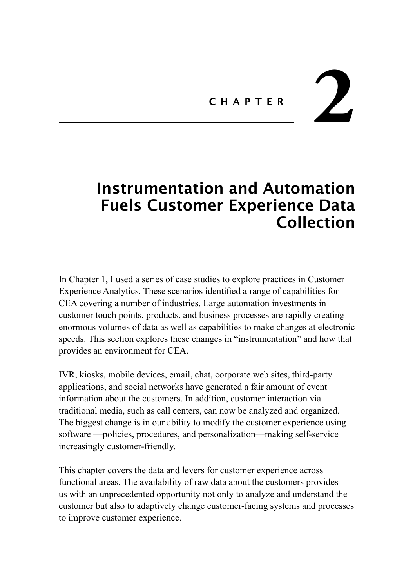# CHAPTER **2**

# Instrumentation and Automation Fuels Customer Experience Data Collection

In Chapter 1, I used a series of case studies to explore practices in Customer Experience Analytics. These scenarios identified a range of capabilities for CEA covering a number of industries. Large automation investments in customer touch points, products, and business processes are rapidly creating enormous volumes of data as well as capabilities to make changes at electronic speeds. This section explores these changes in "instrumentation" and how that provides an environment for CEA.

IVR, kiosks, mobile devices, email, chat, corporate web sites, third-party applications, and social networks have generated a fair amount of event information about the customers. In addition, customer interaction via traditional media, such as call centers, can now be analyzed and organized. The biggest change is in our ability to modify the customer experience using software —policies, procedures, and personalization—making self-service increasingly customer-friendly.

This chapter covers the data and levers for customer experience across functional areas. The availability of raw data about the customers provides us with an unprecedented opportunity not only to analyze and understand the customer but also to adaptively change customer-facing systems and processes to improve customer experience.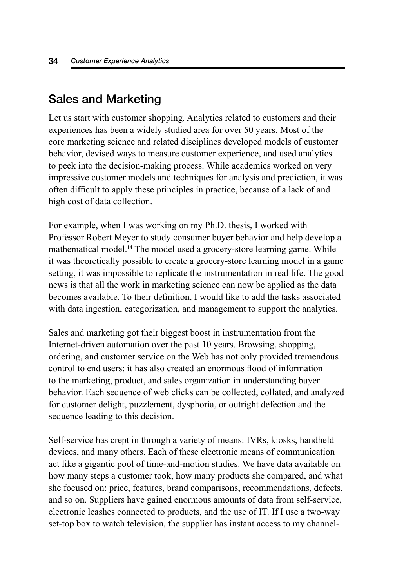### **Sales and Marketing**

Let us start with customer shopping. Analytics related to customers and their experiences has been a widely studied area for over 50 years. Most of the core marketing science and related disciplines developed models of customer behavior, devised ways to measure customer experience, and used analytics to peek into the decision-making process. While academics worked on very impressive customer models and techniques for analysis and prediction, it was often difficult to apply these principles in practice, because of a lack of and high cost of data collection.

For example, when I was working on my Ph.D. thesis, I worked with Professor Robert Meyer to study consumer buyer behavior and help develop a mathematical model.14 The model used a grocery-store learning game. While it was theoretically possible to create a grocery-store learning model in a game setting, it was impossible to replicate the instrumentation in real life. The good news is that all the work in marketing science can now be applied as the data becomes available. To their definition, I would like to add the tasks associated with data ingestion, categorization, and management to support the analytics.

Sales and marketing got their biggest boost in instrumentation from the Internet-driven automation over the past 10 years. Browsing, shopping, ordering, and customer service on the Web has not only provided tremendous control to end users; it has also created an enormous flood of information to the marketing, product, and sales organization in understanding buyer behavior. Each sequence of web clicks can be collected, collated, and analyzed for customer delight, puzzlement, dysphoria, or outright defection and the sequence leading to this decision.

Self-service has crept in through a variety of means: IVRs, kiosks, handheld devices, and many others. Each of these electronic means of communication act like a gigantic pool of time-and-motion studies. We have data available on how many steps a customer took, how many products she compared, and what she focused on: price, features, brand comparisons, recommendations, defects, and so on. Suppliers have gained enormous amounts of data from self-service, electronic leashes connected to products, and the use of IT. If I use a two-way set-top box to watch television, the supplier has instant access to my channel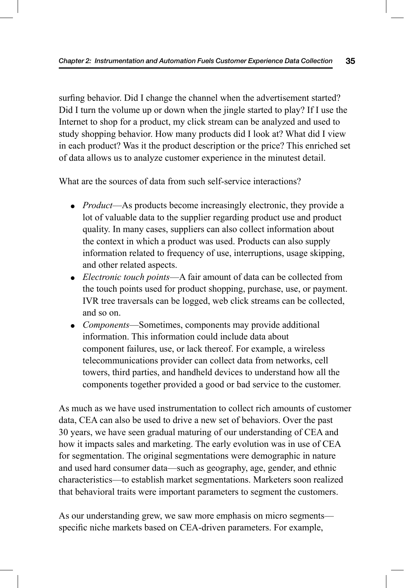surfing behavior. Did I change the channel when the advertisement started? Did I turn the volume up or down when the jingle started to play? If I use the Internet to shop for a product, my click stream can be analyzed and used to study shopping behavior. How many products did I look at? What did I view in each product? Was it the product description or the price? This enriched set of data allows us to analyze customer experience in the minutest detail.

What are the sources of data from such self-service interactions?

- *Product*—As products become increasingly electronic, they provide a lot of valuable data to the supplier regarding product use and product quality. In many cases, suppliers can also collect information about the context in which a product was used. Products can also supply information related to frequency of use, interruptions, usage skipping, and other related aspects.
- *Electronic touch points*—A fair amount of data can be collected from the touch points used for product shopping, purchase, use, or payment. IVR tree traversals can be logged, web click streams can be collected, and so on.
- *Components*—Sometimes, components may provide additional information. This information could include data about component failures, use, or lack thereof. For example, a wireless telecommunications provider can collect data from networks, cell towers, third parties, and handheld devices to understand how all the components together provided a good or bad service to the customer.

As much as we have used instrumentation to collect rich amounts of customer data, CEA can also be used to drive a new set of behaviors. Over the past 30 years, we have seen gradual maturing of our understanding of CEA and how it impacts sales and marketing. The early evolution was in use of CEA for segmentation. The original segmentations were demographic in nature and used hard consumer data—such as geography, age, gender, and ethnic characteristics—to establish market segmentations. Marketers soon realized that behavioral traits were important parameters to segment the customers.

As our understanding grew, we saw more emphasis on micro segments specific niche markets based on CEA-driven parameters. For example,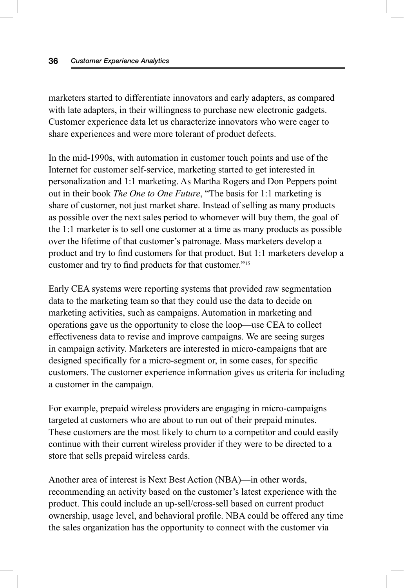marketers started to differentiate innovators and early adapters, as compared with late adapters, in their willingness to purchase new electronic gadgets. Customer experience data let us characterize innovators who were eager to share experiences and were more tolerant of product defects.

In the mid-1990s, with automation in customer touch points and use of the Internet for customer self-service, marketing started to get interested in personalization and 1:1 marketing. As Martha Rogers and Don Peppers point out in their book *The One to One Future*, "The basis for 1:1 marketing is share of customer, not just market share. Instead of selling as many products as possible over the next sales period to whomever will buy them, the goal of the 1:1 marketer is to sell one customer at a time as many products as possible over the lifetime of that customer's patronage. Mass marketers develop a product and try to find customers for that product. But 1:1 marketers develop a customer and try to find products for that customer."<sup>15</sup>

Early CEA systems were reporting systems that provided raw segmentation data to the marketing team so that they could use the data to decide on marketing activities, such as campaigns. Automation in marketing and operations gave us the opportunity to close the loop—use CEA to collect effectiveness data to revise and improve campaigns. We are seeing surges in campaign activity. Marketers are interested in micro-campaigns that are designed specifically for a micro-segment or, in some cases, for specific customers. The customer experience information gives us criteria for including a customer in the campaign.

For example, prepaid wireless providers are engaging in micro-campaigns targeted at customers who are about to run out of their prepaid minutes. These customers are the most likely to churn to a competitor and could easily continue with their current wireless provider if they were to be directed to a store that sells prepaid wireless cards.

Another area of interest is Next Best Action (NBA)—in other words, recommending an activity based on the customer's latest experience with the product. This could include an up-sell/cross-sell based on current product ownership, usage level, and behavioral profile. NBA could be offered any time the sales organization has the opportunity to connect with the customer via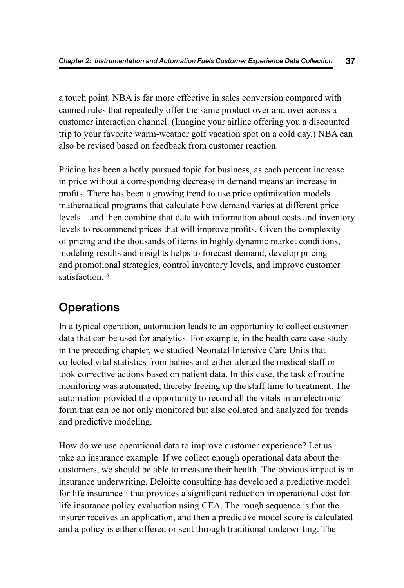a touch point. NBA is far more effective in sales conversion compared with canned rules that repeatedly offer the same product over and over across a customer interaction channel. (Imagine your airline offering you a discounted trip to your favorite warm-weather golf vacation spot on a cold day.) NBA can also be revised based on feedback from customer reaction.

Pricing has been a hotly pursued topic for business, as each percent increase in price without a corresponding decrease in demand means an increase in profits. There has been a growing trend to use price optimization models mathematical programs that calculate how demand varies at different price levels—and then combine that data with information about costs and inventory levels to recommend prices that will improve profits. Given the complexity of pricing and the thousands of items in highly dynamic market conditions, modeling results and insights helps to forecast demand, develop pricing and promotional strategies, control inventory levels, and improve customer satisfaction<sup>16</sup>

## **Operations**

In a typical operation, automation leads to an opportunity to collect customer data that can be used for analytics. For example, in the health care case study in the preceding chapter, we studied Neonatal Intensive Care Units that collected vital statistics from babies and either alerted the medical staff or took corrective actions based on patient data. In this case, the task of routine monitoring was automated, thereby freeing up the staff time to treatment. The automation provided the opportunity to record all the vitals in an electronic form that can be not only monitored but also collated and analyzed for trends and predictive modeling.

How do we use operational data to improve customer experience? Let us take an insurance example. If we collect enough operational data about the customers, we should be able to measure their health. The obvious impact is in insurance underwriting. Deloitte consulting has developed a predictive model for life insurance<sup>17</sup> that provides a significant reduction in operational cost for life insurance policy evaluation using CEA. The rough sequence is that the insurer receives an application, and then a predictive model score is calculated and a policy is either offered or sent through traditional underwriting. The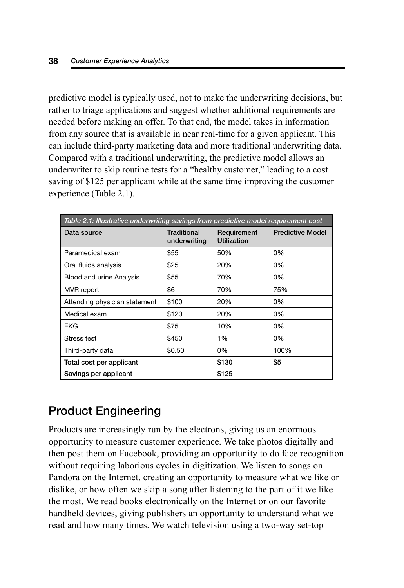predictive model is typically used, not to make the underwriting decisions, but rather to triage applications and suggest whether additional requirements are needed before making an offer. To that end, the model takes in information from any source that is available in near real-time for a given applicant. This can include third-party marketing data and more traditional underwriting data. Compared with a traditional underwriting, the predictive model allows an underwriter to skip routine tests for a "healthy customer," leading to a cost saving of \$125 per applicant while at the same time improving the customer experience (Table 2.1).

| Table 2.1: Illustrative underwriting savings from predictive model requirement cost |                             |                            |                         |
|-------------------------------------------------------------------------------------|-----------------------------|----------------------------|-------------------------|
| Data source                                                                         | Traditional<br>underwriting | Requirement<br>Utilization | <b>Predictive Model</b> |
| Paramedical exam                                                                    | \$55                        | 50%                        | 0%                      |
| Oral fluids analysis                                                                | \$25                        | 20%                        | 0%                      |
| <b>Blood and urine Analysis</b>                                                     | \$55                        | 70%                        | 0%                      |
| MVR report                                                                          | \$6                         | 70%                        | 75%                     |
| Attending physician statement                                                       | \$100                       | 20%                        | 0%                      |
| Medical exam                                                                        | \$120                       | 20%                        | 0%                      |
| <b>EKG</b>                                                                          | \$75                        | 10%                        | 0%                      |
| Stress test                                                                         | \$450                       | 1%                         | 0%                      |
| Third-party data                                                                    | \$0.50                      | 0%                         | 100%                    |
| Total cost per applicant                                                            |                             | \$130                      | \$5                     |
| Savings per applicant                                                               |                             | \$125                      |                         |

### **Product Engineering**

Products are increasingly run by the electrons, giving us an enormous opportunity to measure customer experience. We take photos digitally and then post them on Facebook, providing an opportunity to do face recognition without requiring laborious cycles in digitization. We listen to songs on Pandora on the Internet, creating an opportunity to measure what we like or dislike, or how often we skip a song after listening to the part of it we like the most. We read books electronically on the Internet or on our favorite handheld devices, giving publishers an opportunity to understand what we read and how many times. We watch television using a two-way set-top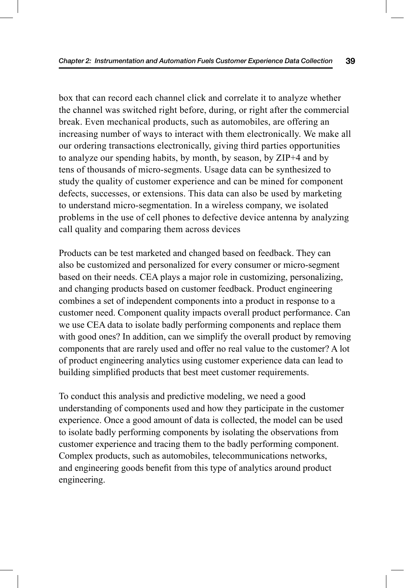box that can record each channel click and correlate it to analyze whether the channel was switched right before, during, or right after the commercial break. Even mechanical products, such as automobiles, are offering an increasing number of ways to interact with them electronically. We make all our ordering transactions electronically, giving third parties opportunities to analyze our spending habits, by month, by season, by ZIP+4 and by tens of thousands of micro-segments. Usage data can be synthesized to study the quality of customer experience and can be mined for component defects, successes, or extensions. This data can also be used by marketing to understand micro-segmentation. In a wireless company, we isolated problems in the use of cell phones to defective device antenna by analyzing call quality and comparing them across devices

Products can be test marketed and changed based on feedback. They can also be customized and personalized for every consumer or micro-segment based on their needs. CEA plays a major role in customizing, personalizing, and changing products based on customer feedback. Product engineering combines a set of independent components into a product in response to a customer need. Component quality impacts overall product performance. Can we use CEA data to isolate badly performing components and replace them with good ones? In addition, can we simplify the overall product by removing components that are rarely used and offer no real value to the customer? A lot of product engineering analytics using customer experience data can lead to building simplified products that best meet customer requirements.

To conduct this analysis and predictive modeling, we need a good understanding of components used and how they participate in the customer experience. Once a good amount of data is collected, the model can be used to isolate badly performing components by isolating the observations from customer experience and tracing them to the badly performing component. Complex products, such as automobiles, telecommunications networks, and engineering goods benefit from this type of analytics around product engineering.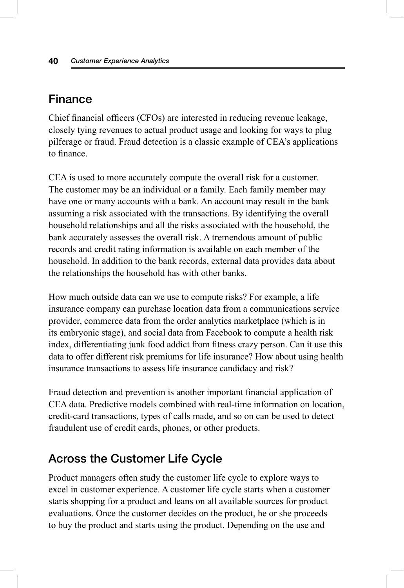### **Finance**

Chief financial officers (CFOs) are interested in reducing revenue leakage, closely tying revenues to actual product usage and looking for ways to plug pilferage or fraud. Fraud detection is a classic example of CEA's applications to finance

CEA is used to more accurately compute the overall risk for a customer. The customer may be an individual or a family. Each family member may have one or many accounts with a bank. An account may result in the bank assuming a risk associated with the transactions. By identifying the overall household relationships and all the risks associated with the household, the bank accurately assesses the overall risk. A tremendous amount of public records and credit rating information is available on each member of the household. In addition to the bank records, external data provides data about the relationships the household has with other banks.

How much outside data can we use to compute risks? For example, a life insurance company can purchase location data from a communications service provider, commerce data from the order analytics marketplace (which is in its embryonic stage), and social data from Facebook to compute a health risk index, differentiating junk food addict from fitness crazy person. Can it use this data to offer different risk premiums for life insurance? How about using health insurance transactions to assess life insurance candidacy and risk?

Fraud detection and prevention is another important financial application of CEA data. Predictive models combined with real-time information on location, credit-card transactions, types of calls made, and so on can be used to detect fraudulent use of credit cards, phones, or other products.

### **Across the Customer Life Cycle**

Product managers often study the customer life cycle to explore ways to excel in customer experience. A customer life cycle starts when a customer starts shopping for a product and leans on all available sources for product evaluations. Once the customer decides on the product, he or she proceeds to buy the product and starts using the product. Depending on the use and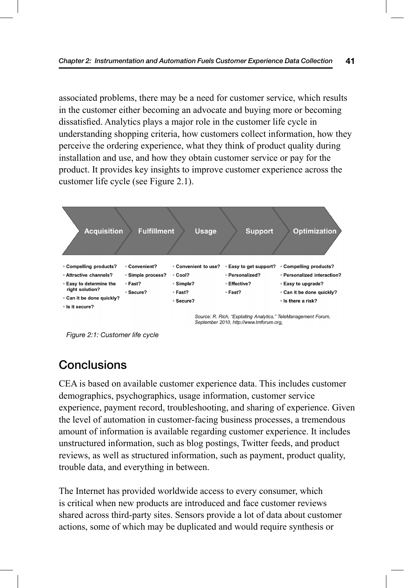associated problems, there may be a need for customer service, which results in the customer either becoming an advocate and buying more or becoming dissatisfied. Analytics plays a major role in the customer life cycle in understanding shopping criteria, how customers collect information, how they perceive the ordering experience, what they think of product quality during installation and use, and how they obtain customer service or pay for the product. It provides key insights to improve customer experience across the customer life cycle (see Figure 2.1).



Figure 2:1: Customer life cycle

## **Conclusions**

CEA is based on available customer experience data. This includes customer demographics, psychographics, usage information, customer service experience, payment record, troubleshooting, and sharing of experience. Given the level of automation in customer-facing business processes, a tremendous amount of information is available regarding customer experience. It includes unstructured information, such as blog postings, Twitter feeds, and product reviews, as well as structured information, such as payment, product quality, trouble data, and everything in between.

The Internet has provided worldwide access to every consumer, which is critical when new products are introduced and face customer reviews shared across third-party sites. Sensors provide a lot of data about customer actions, some of which may be duplicated and would require synthesis or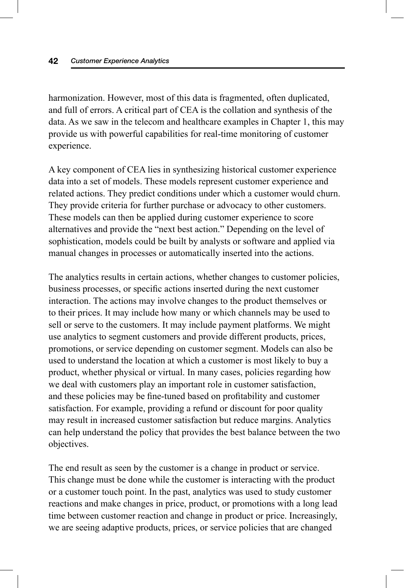### **42** *Customer Experience Analytics*

harmonization. However, most of this data is fragmented, often duplicated, and full of errors. A critical part of CEA is the collation and synthesis of the data. As we saw in the telecom and healthcare examples in Chapter 1, this may provide us with powerful capabilities for real-time monitoring of customer experience.

A key component of CEA lies in synthesizing historical customer experience data into a set of models. These models represent customer experience and related actions. They predict conditions under which a customer would churn. They provide criteria for further purchase or advocacy to other customers. These models can then be applied during customer experience to score alternatives and provide the "next best action." Depending on the level of sophistication, models could be built by analysts or software and applied via manual changes in processes or automatically inserted into the actions.

The analytics results in certain actions, whether changes to customer policies, business processes, or specific actions inserted during the next customer interaction. The actions may involve changes to the product themselves or to their prices. It may include how many or which channels may be used to sell or serve to the customers. It may include payment platforms. We might use analytics to segment customers and provide different products, prices, promotions, or service depending on customer segment. Models can also be used to understand the location at which a customer is most likely to buy a product, whether physical or virtual. In many cases, policies regarding how we deal with customers play an important role in customer satisfaction, and these policies may be fine-tuned based on profitability and customer satisfaction. For example, providing a refund or discount for poor quality may result in increased customer satisfaction but reduce margins. Analytics can help understand the policy that provides the best balance between the two objectives.

The end result as seen by the customer is a change in product or service. This change must be done while the customer is interacting with the product or a customer touch point. In the past, analytics was used to study customer reactions and make changes in price, product, or promotions with a long lead time between customer reaction and change in product or price. Increasingly, we are seeing adaptive products, prices, or service policies that are changed